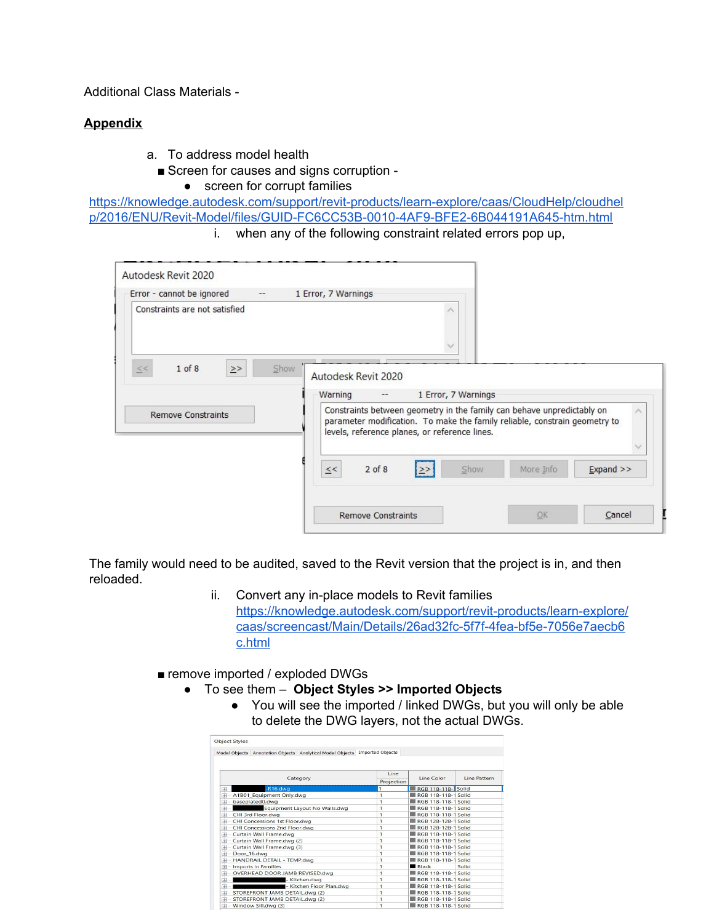Additional Class Materials -

# **Appendix**

- a. To address model health
	- Screen for causes and signs corruption -
		- screen for corrupt families

[https://knowledge.autodesk.com/support/revit-products/learn-explore/caas/CloudHelp/cloudhel](https://knowledge.autodesk.com/support/revit-products/learn-explore/caas/CloudHelp/cloudhelp/2016/ENU/Revit-Model/files/GUID-FC6CC53B-0010-4AF9-BFE2-6B044191A645-htm.html) [p/2016/ENU/Revit-Model/files/GUID-FC6CC53B-0010-4AF9-BFE2-6B044191A645-htm.html](https://knowledge.autodesk.com/support/revit-products/learn-explore/caas/CloudHelp/cloudhelp/2016/ENU/Revit-Model/files/GUID-FC6CC53B-0010-4AF9-BFE2-6B044191A645-htm.html)

i. when any of the following constraint related errors pop up,

| Autodesk Revit 2020<br>Warning<br>$\overline{\phantom{a}}$<br>Constraints between geometry in the family can behave unpredictably on |    | 1 Error, 7 Warnings       |                                                                            |             |
|--------------------------------------------------------------------------------------------------------------------------------------|----|---------------------------|----------------------------------------------------------------------------|-------------|
|                                                                                                                                      |    |                           |                                                                            |             |
|                                                                                                                                      |    |                           | parameter modification. To make the family reliable, constrain geometry to |             |
| levels, reference planes, or reference lines.<br>$2$ of $8$<br>$\leq <$                                                              | ≥> | Show                      | More Info                                                                  | $Expand$ >> |
|                                                                                                                                      |    |                           |                                                                            |             |
|                                                                                                                                      |    | <b>Remove Constraints</b> |                                                                            | OK          |

The family would need to be audited, saved to the Revit version that the project is in, and then reloaded.

- ii. Convert any in-place models to Revit families [https://knowledge.autodesk.com/support/revit-products/learn-explore/](https://knowledge.autodesk.com/support/revit-products/learn-explore/caas/screencast/Main/Details/26ad32fc-5f7f-4fea-bf5e-7056e7aecb6c.html) [caas/screencast/Main/Details/26ad32fc-5f7f-4fea-bf5e-7056e7aecb6](https://knowledge.autodesk.com/support/revit-products/learn-explore/caas/screencast/Main/Details/26ad32fc-5f7f-4fea-bf5e-7056e7aecb6c.html) [c.html](https://knowledge.autodesk.com/support/revit-products/learn-explore/caas/screencast/Main/Details/26ad32fc-5f7f-4fea-bf5e-7056e7aecb6c.html)
- remove imported / exploded DWGs
	- To see them **Object Styles >> Imported Objects**
		- You will see the imported / linked DWGs, but you will only be able to delete the DWG layers, not the actual DWGs.

| Model Objects Annotation Objects Analytical Model Objects | <b>Imported Objects</b> |                           |              |  |
|-----------------------------------------------------------|-------------------------|---------------------------|--------------|--|
|                                                           | Line                    |                           |              |  |
| Category                                                  | Projection              | Line Color                | Line Pattern |  |
| $-R16$ .dwa<br>Œ                                          | 1                       | <b>RGB 118-118-</b> Solid |              |  |
| A1B01_Equipment Only.dwg<br>田                             | 1                       | RGB 118-118-1 Solid       |              |  |
| baseplatedtl.dwg<br>由                                     | 1                       | RGB 118-118-1 Solid       |              |  |
| Equipment Layout No Walls.dwg<br>庙                        | 1                       | RGB 118-118-1 Solid       |              |  |
| CHI 3rd Floor.dwg<br>庙                                    | 1                       | RGB 118-118-1 Solid       |              |  |
| CHI Concessions 1st Floor.dwg<br>由                        | 1                       | RGB 128-128-1 Solid       |              |  |
| - CHI Concessions 2nd Floor.dwg<br>由                      | 1                       | RGB 128-128-1 Solid       |              |  |
| Curtain Wall Frame.dwg<br>Œ                               | 1                       | RGB 118-118-1 Solid       |              |  |
| - Curtain Wall Frame.dwg (2)<br>Œ                         | 1                       | RGB 118-118-1 Solid       |              |  |
| - Curtain Wall Frame.dwg (3)<br>Œ                         | 1                       | RGB 118-118-1 Solid       |              |  |
| - Door 16, dwa<br>Œ                                       | 1                       | RGB 118-118-1 Solid       |              |  |
| - HANDRAIL DETAIL - TEMP.dwg<br>Œ                         | 1                       | RGB 118-118-1 Solid       |              |  |
| - Imports in Families<br>Œ                                | 1                       | <b>Black</b>              | Solid        |  |
| OVERHEAD DOOR JAMB REVISED.dwg<br>Ė                       | $\overline{1}$          | RGB 118-118-1 Solid       |              |  |
| Kitchen.dwa<br>庙                                          | 1                       | RGB 118-118-1 Solid       |              |  |
| - Kitchen Floor Plan.dwg<br>庙                             | 1                       | RGB 118-118-1 Solid       |              |  |
| STOREFRONT JAMB DETAIL.dwg (2)<br>Œ                       | 1                       | RGB 118-118-1 Solid       |              |  |
| STOREFRONT JAMB DETAIL.dwg (2)<br>田                       | 1                       | RGB 118-118-1 Solid       |              |  |
| 中<br>- Window Sill dwg (3)                                | 1                       | RGB 118-118-1 Solid       |              |  |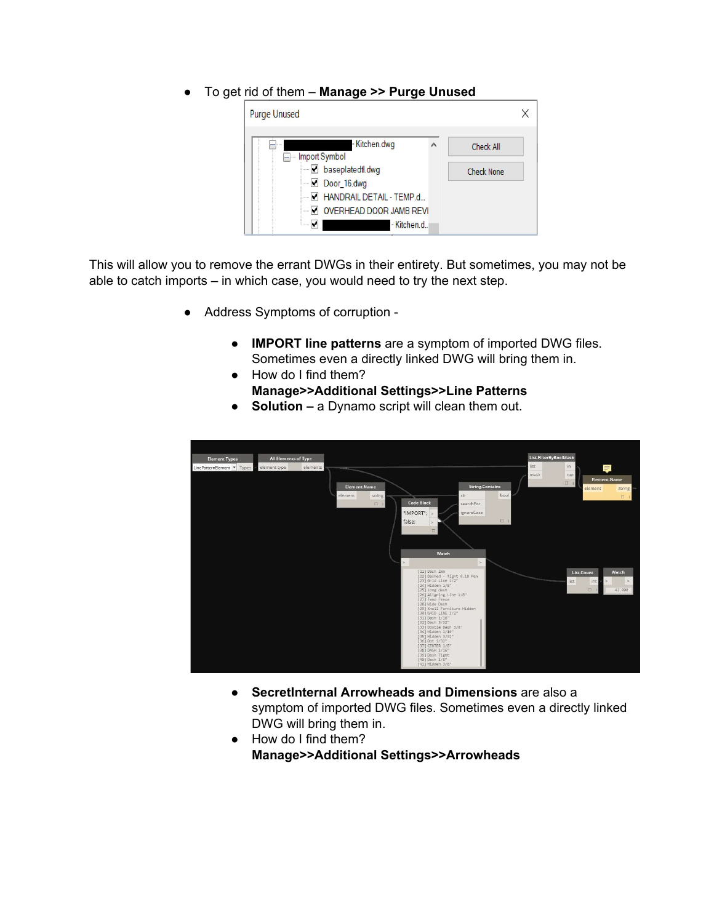## ● To get rid of them – **Manage >> Purge Unused**

| <b>Purge Unused</b>                                                                                                                                                                                                  |   |                                |  |
|----------------------------------------------------------------------------------------------------------------------------------------------------------------------------------------------------------------------|---|--------------------------------|--|
| - Kitchen.dwg<br>Import Symbol<br>$ -$<br>baseplatedtl.dwg<br>$\Box$ Door 16.dwg<br>7 HANDRAIL DETAIL - TEMP.d<br>V OVERHEAD DOOR JAMB REVI<br>- Kitchen.d.<br>M<br><b><i><u><u><del>1.1.1.1.1</del></u></u></i></b> | ۸ | Check All<br><b>Check None</b> |  |

This will allow you to remove the errant DWGs in their entirety. But sometimes, you may not be able to catch imports – in which case, you would need to try the next step.

- Address Symptoms of corruption -
	- **● IMPORT line patterns** are a symptom of imported DWG files. Sometimes even a directly linked DWG will bring them in.
	- How do I find them? **Manage>>Additional Settings>>Line Patterns**
	- **● Solution –** a Dynamo script will clean them out.



- **● SecretInternal Arrowheads and Dimensions** are also a symptom of imported DWG files. Sometimes even a directly linked DWG will bring them in.
- How do I find them? **Manage>>Additional Settings>>Arrowheads**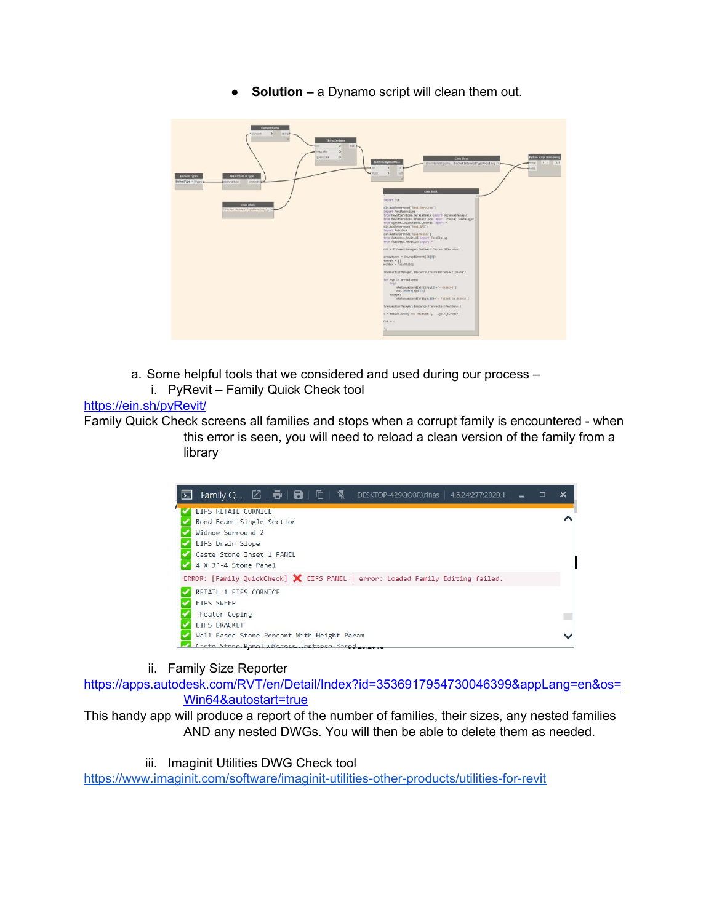● **Solution –** a Dynamo script will clean them out.



- a. Some helpful tools that we considered and used during our process
	- i. PyRevit Family Quick Check tool

## <https://ein.sh/pyRevit/>

Family Quick Check screens all families and stops when a corrupt family is encountered - when this error is seen, you will need to reload a clean version of the family from a library



ii. Family Size Reporter

[https://apps.autodesk.com/RVT/en/Detail/Index?id=3536917954730046399&appLang=en&os=](https://apps.autodesk.com/RVT/en/Detail/Index?id=3536917954730046399&appLang=en&os=Win64&autostart=true) [Win64&autostart=true](https://apps.autodesk.com/RVT/en/Detail/Index?id=3536917954730046399&appLang=en&os=Win64&autostart=true)

This handy app will produce a report of the number of families, their sizes, any nested families AND any nested DWGs. You will then be able to delete them as needed.

iii. Imaginit Utilities DWG Check tool

<https://www.imaginit.com/software/imaginit-utilities-other-products/utilities-for-revit>